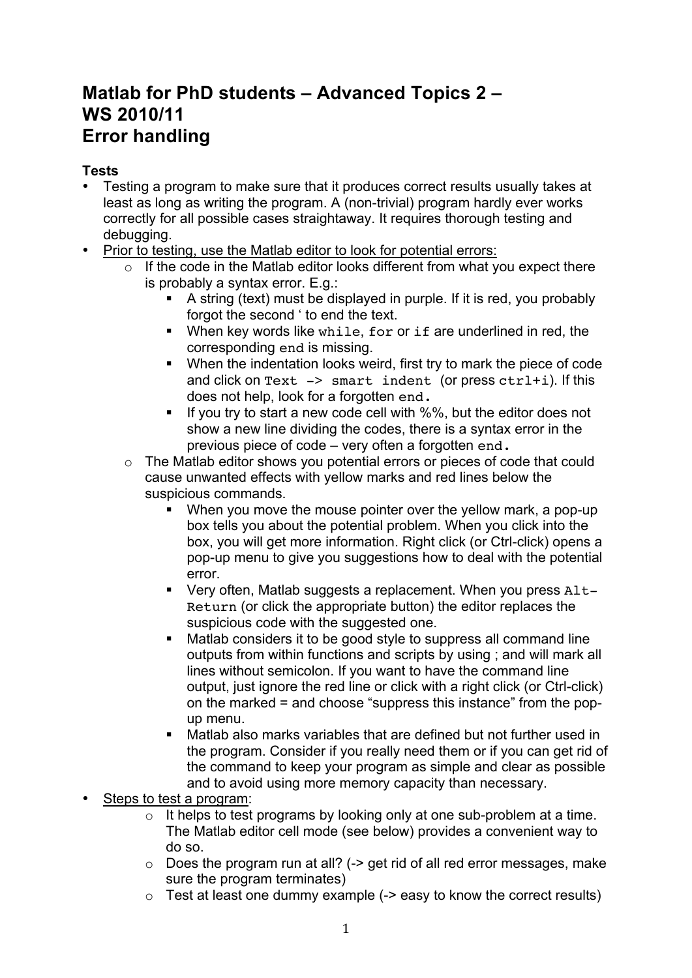# **Matlab for PhD students – Advanced Topics 2 – WS 2010/11 Error handling**

## **Tests**

- Testing a program to make sure that it produces correct results usually takes at least as long as writing the program. A (non-trivial) program hardly ever works correctly for all possible cases straightaway. It requires thorough testing and debugging.
- Prior to testing, use the Matlab editor to look for potential errors:
	- $\circ$  If the code in the Matlab editor looks different from what you expect there is probably a syntax error. E.g.:
		- A string (text) must be displayed in purple. If it is red, you probably forgot the second ' to end the text.
		- When key words like while, for or if are underlined in red, the corresponding end is missing.
		- When the indentation looks weird, first try to mark the piece of code and click on  $Text$  -> smart indent (or press  $ctrl+1$ ). If this does not help, look for a forgotten end.
		- $\blacksquare$  If you try to start a new code cell with %%, but the editor does not show a new line dividing the codes, there is a syntax error in the previous piece of code – very often a forgotten end.
	- o The Matlab editor shows you potential errors or pieces of code that could cause unwanted effects with yellow marks and red lines below the suspicious commands.
		- When you move the mouse pointer over the yellow mark, a pop-up box tells you about the potential problem. When you click into the box, you will get more information. Right click (or Ctrl-click) opens a pop-up menu to give you suggestions how to deal with the potential error.
		- Very often, Matlab suggests a replacement. When you press Alt-Return (or click the appropriate button) the editor replaces the suspicious code with the suggested one.
		- Matlab considers it to be good style to suppress all command line outputs from within functions and scripts by using ; and will mark all lines without semicolon. If you want to have the command line output, just ignore the red line or click with a right click (or Ctrl-click) on the marked = and choose "suppress this instance" from the popup menu.
		- Matlab also marks variables that are defined but not further used in the program. Consider if you really need them or if you can get rid of the command to keep your program as simple and clear as possible and to avoid using more memory capacity than necessary.
- Steps to test a program:
	- $\circ$  It helps to test programs by looking only at one sub-problem at a time. The Matlab editor cell mode (see below) provides a convenient way to do so.
	- $\circ$  Does the program run at all? ( $\ge$  get rid of all red error messages, make sure the program terminates)
	- $\circ$  Test at least one dummy example ( $\sim$  easy to know the correct results)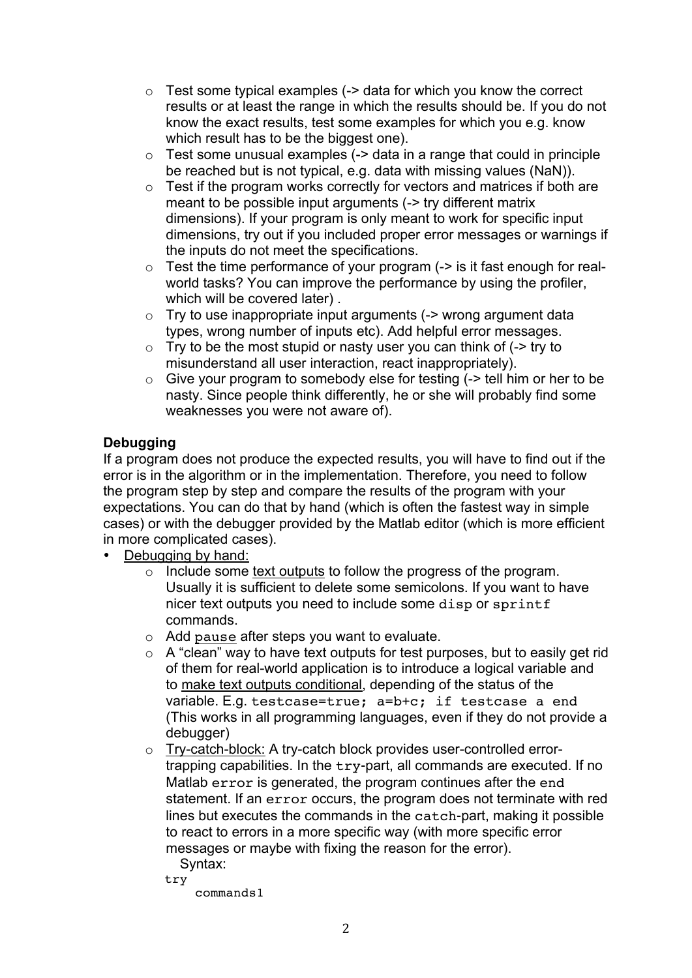- $\circ$  Test some typical examples (-> data for which you know the correct results or at least the range in which the results should be. If you do not know the exact results, test some examples for which you e.g. know which result has to be the biggest one).
- $\circ$  Test some unusual examples ( $\sim$  data in a range that could in principle be reached but is not typical, e.g. data with missing values (NaN)).
- $\circ$  Test if the program works correctly for vectors and matrices if both are meant to be possible input arguments (-> try different matrix dimensions). If your program is only meant to work for specific input dimensions, try out if you included proper error messages or warnings if the inputs do not meet the specifications.
- $\circ$  Test the time performance of your program ( $\circ$  is it fast enough for realworld tasks? You can improve the performance by using the profiler, which will be covered later) .
- $\circ$  Try to use inappropriate input arguments ( $\sim$  wrong argument data types, wrong number of inputs etc). Add helpful error messages.
- $\circ$  Try to be the most stupid or nasty user you can think of ( $\sim$  try to misunderstand all user interaction, react inappropriately).
- $\circ$  Give your program to somebody else for testing ( $\circ$  tell him or her to be nasty. Since people think differently, he or she will probably find some weaknesses you were not aware of).

## **Debugging**

If a program does not produce the expected results, you will have to find out if the error is in the algorithm or in the implementation. Therefore, you need to follow the program step by step and compare the results of the program with your expectations. You can do that by hand (which is often the fastest way in simple cases) or with the debugger provided by the Matlab editor (which is more efficient in more complicated cases).

- Debugging by hand:
	- o Include some text outputs to follow the progress of the program. Usually it is sufficient to delete some semicolons. If you want to have nicer text outputs you need to include some disp or sprintf commands.
	- o Add pause after steps you want to evaluate.
	- $\circ$  A "clean" way to have text outputs for test purposes, but to easily get rid of them for real-world application is to introduce a logical variable and to make text outputs conditional, depending of the status of the variable. E.g. testcase=true; a=b+c; if testcase a end (This works in all programming languages, even if they do not provide a debugger)
	- o Try-catch-block: A try-catch block provides user-controlled errortrapping capabilities. In the try-part, all commands are executed. If no Matlab error is generated, the program continues after the end statement. If an error occurs, the program does not terminate with red lines but executes the commands in the catch-part, making it possible to react to errors in a more specific way (with more specific error messages or maybe with fixing the reason for the error).
		- Syntax:
		- try

commands1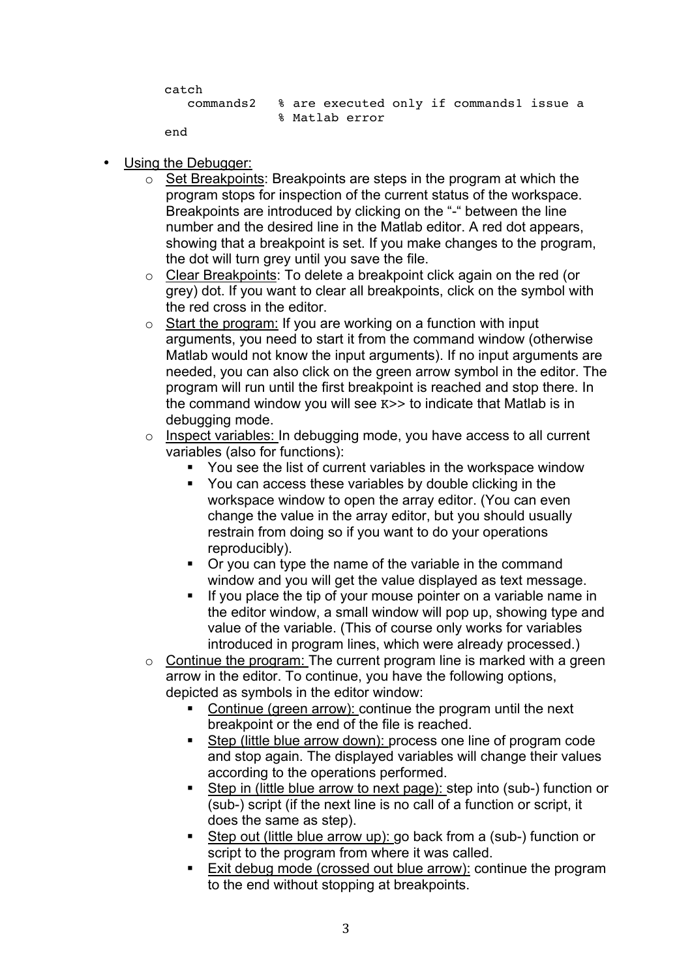```
catch
   commands2 % are executed only if commands1 issue a 
              % Matlab error
```
end

- Using the Debugger:
	- $\circ$  Set Breakpoints: Breakpoints are steps in the program at which the program stops for inspection of the current status of the workspace. Breakpoints are introduced by clicking on the "-" between the line number and the desired line in the Matlab editor. A red dot appears, showing that a breakpoint is set. If you make changes to the program, the dot will turn grey until you save the file.
	- o Clear Breakpoints: To delete a breakpoint click again on the red (or grey) dot. If you want to clear all breakpoints, click on the symbol with the red cross in the editor.
	- $\circ$  Start the program: If you are working on a function with input arguments, you need to start it from the command window (otherwise Matlab would not know the input arguments). If no input arguments are needed, you can also click on the green arrow symbol in the editor. The program will run until the first breakpoint is reached and stop there. In the command window you will see K>> to indicate that Matlab is in debugging mode.
	- o Inspect variables: In debugging mode, you have access to all current variables (also for functions):
		- You see the list of current variables in the workspace window
		- You can access these variables by double clicking in the workspace window to open the array editor. (You can even change the value in the array editor, but you should usually restrain from doing so if you want to do your operations reproducibly).
		- Or you can type the name of the variable in the command window and you will get the value displayed as text message.
		- If you place the tip of your mouse pointer on a variable name in the editor window, a small window will pop up, showing type and value of the variable. (This of course only works for variables introduced in program lines, which were already processed.)
	- $\circ$  Continue the program: The current program line is marked with a green arrow in the editor. To continue, you have the following options, depicted as symbols in the editor window:
		- Continue (green arrow): continue the program until the next breakpoint or the end of the file is reached.
		- Step (little blue arrow down): process one line of program code and stop again. The displayed variables will change their values according to the operations performed.
		- Step in (little blue arrow to next page): step into (sub-) function or (sub-) script (if the next line is no call of a function or script, it does the same as step).
		- Step out (little blue arrow up): go back from a (sub-) function or script to the program from where it was called.
		- **Exit debug mode (crossed out blue arrow): continue the program** to the end without stopping at breakpoints.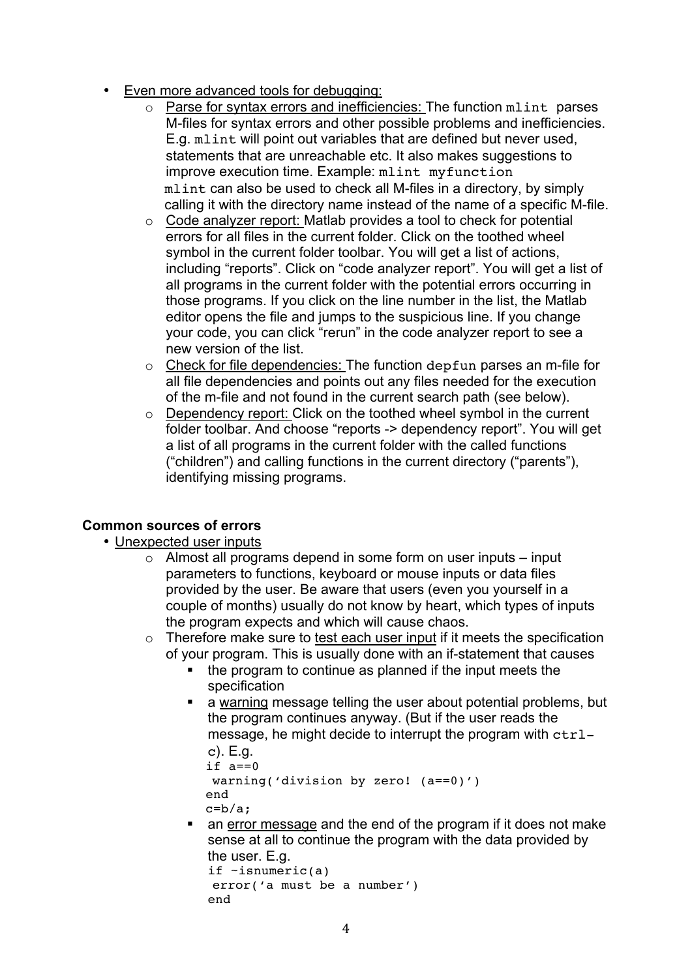- Even more advanced tools for debugging:
	- o Parse for syntax errors and inefficiencies: The function mlint parses M-files for syntax errors and other possible problems and inefficiencies. E.g. mlint will point out variables that are defined but never used. statements that are unreachable etc. It also makes suggestions to improve execution time. Example: mlint myfunction mlint can also be used to check all M-files in a directory, by simply calling it with the directory name instead of the name of a specific M-file.
	- $\circ$  Code analyzer report: Matlab provides a tool to check for potential errors for all files in the current folder. Click on the toothed wheel symbol in the current folder toolbar. You will get a list of actions, including "reports". Click on "code analyzer report". You will get a list of all programs in the current folder with the potential errors occurring in those programs. If you click on the line number in the list, the Matlab editor opens the file and jumps to the suspicious line. If you change your code, you can click "rerun" in the code analyzer report to see a new version of the list.
	- o Check for file dependencies: The function depfun parses an m-file for all file dependencies and points out any files needed for the execution of the m-file and not found in the current search path (see below).
	- o Dependency report: Click on the toothed wheel symbol in the current folder toolbar. And choose "reports -> dependency report". You will get a list of all programs in the current folder with the called functions ("children") and calling functions in the current directory ("parents"), identifying missing programs.

### **Common sources of errors**

• Unexpected user inputs

end

- $\circ$  Almost all programs depend in some form on user inputs input parameters to functions, keyboard or mouse inputs or data files provided by the user. Be aware that users (even you yourself in a couple of months) usually do not know by heart, which types of inputs the program expects and which will cause chaos.
- o Therefore make sure to test each user input if it meets the specification of your program. This is usually done with an if-statement that causes
	- the program to continue as planned if the input meets the specification
	- a warning message telling the user about potential problems, but the program continues anyway. (But if the user reads the message, he might decide to interrupt the program with  $ctrl$ -

```
c). E.g.
if a==0warning('division by zero! (a==0)')
end
c=b/a:
```
 an error message and the end of the program if it does not make sense at all to continue the program with the data provided by the user. E.g. if ~isnumeric(a) error('a must be a number')

```
4
```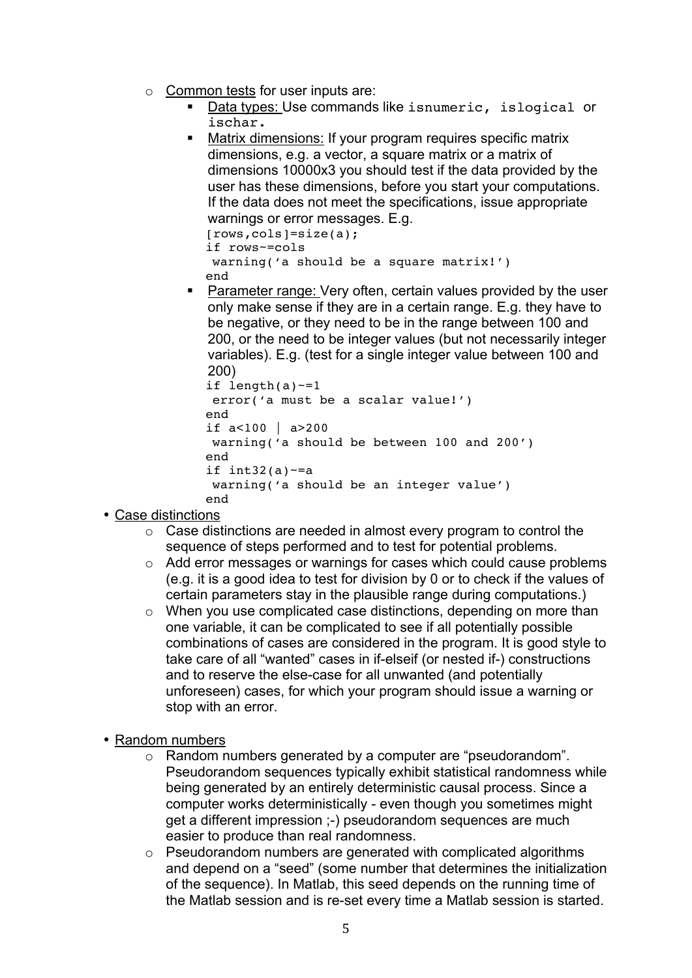- $\circ$  Common tests for user inputs are:
	- Data types: Use commands like isnumeric, islogical or ischar.
	- Matrix dimensions: If your program requires specific matrix dimensions, e.g. a vector, a square matrix or a matrix of dimensions 10000x3 you should test if the data provided by the user has these dimensions, before you start your computations. If the data does not meet the specifications, issue appropriate warnings or error messages. E.g. [rows,cols]=size(a);

```
if rows~=cols
warning('a should be a square matrix!')
end
```
**Parameter range: Very often, certain values provided by the user** only make sense if they are in a certain range. E.g. they have to be negative, or they need to be in the range between 100 and 200, or the need to be integer values (but not necessarily integer variables). E.g. (test for a single integer value between 100 and 200)

```
if length(a)-1error('a must be a scalar value!')
end
if a<100 | a>200
warning('a should be between 100 and 200')
end
if int32(a) \sim = a
warning('a should be an integer value')
end
```
- Case distinctions
	- $\circ$  Case distinctions are needed in almost every program to control the sequence of steps performed and to test for potential problems.
	- o Add error messages or warnings for cases which could cause problems (e.g. it is a good idea to test for division by 0 or to check if the values of certain parameters stay in the plausible range during computations.)
	- o When you use complicated case distinctions, depending on more than one variable, it can be complicated to see if all potentially possible combinations of cases are considered in the program. It is good style to take care of all "wanted" cases in if-elseif (or nested if-) constructions and to reserve the else-case for all unwanted (and potentially unforeseen) cases, for which your program should issue a warning or stop with an error.
- Random numbers
	- o Random numbers generated by a computer are "pseudorandom". Pseudorandom sequences typically exhibit statistical randomness while being generated by an entirely deterministic causal process. Since a computer works deterministically - even though you sometimes might get a different impression ;-) pseudorandom sequences are much easier to produce than real randomness.
	- o Pseudorandom numbers are generated with complicated algorithms and depend on a "seed" (some number that determines the initialization of the sequence). In Matlab, this seed depends on the running time of the Matlab session and is re-set every time a Matlab session is started.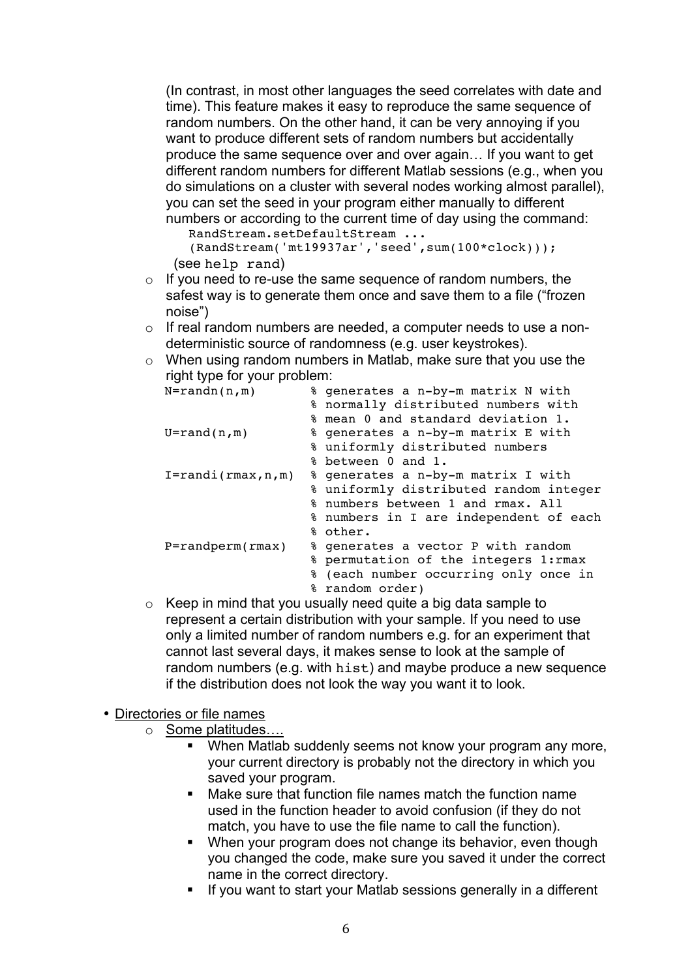(In contrast, in most other languages the seed correlates with date and time). This feature makes it easy to reproduce the same sequence of random numbers. On the other hand, it can be very annoying if you want to produce different sets of random numbers but accidentally produce the same sequence over and over again… If you want to get different random numbers for different Matlab sessions (e.g., when you do simulations on a cluster with several nodes working almost parallel), you can set the seed in your program either manually to different numbers or according to the current time of day using the command:

```
RandStream.setDefaultStream ...
  (RandStream('mt19937ar','seed',sum(100*clock)));
(see help rand)
```
- $\circ$  If you need to re-use the same sequence of random numbers, the safest way is to generate them once and save them to a file ("frozen noise")
- o If real random numbers are needed, a computer needs to use a nondeterministic source of randomness (e.g. user keystrokes).
- o When using random numbers in Matlab, make sure that you use the right type for your problem:

| $N=randn(n,m)$          |    | % generates a n-by-m matrix N with     |
|-------------------------|----|----------------------------------------|
|                         |    | % normally distributed numbers with    |
|                         |    | % mean 0 and standard deviation 1.     |
| $U=rand(n,m)$           |    | % generates a n-by-m matrix E with     |
|                         |    | % uniformly distributed numbers        |
|                         |    | % between 0 and 1.                     |
| $I = randi(rmax, n, m)$ |    | % generates a n-by-m matrix I with     |
|                         |    | % uniformly distributed random integer |
|                         |    | % numbers between 1 and rmax. All      |
|                         |    | % numbers in I are independent of each |
|                         |    | % other.                               |
| $P=randperm(rmax)$      |    | % generates a vector P with random     |
|                         |    | % permutation of the integers 1: rmax  |
|                         | နွ | (each number occurring only once in    |
|                         |    | % random order)                        |

 $\circ$  Keep in mind that you usually need quite a big data sample to represent a certain distribution with your sample. If you need to use only a limited number of random numbers e.g. for an experiment that cannot last several days, it makes sense to look at the sample of random numbers (e.g. with hist) and maybe produce a new sequence if the distribution does not look the way you want it to look.

### • Directories or file names

- o Some platitudes....
	- When Matlab suddenly seems not know your program any more, your current directory is probably not the directory in which you saved your program.
	- Make sure that function file names match the function name used in the function header to avoid confusion (if they do not match, you have to use the file name to call the function).
	- When your program does not change its behavior, even though you changed the code, make sure you saved it under the correct name in the correct directory.
	- **If you want to start your Matlab sessions generally in a different**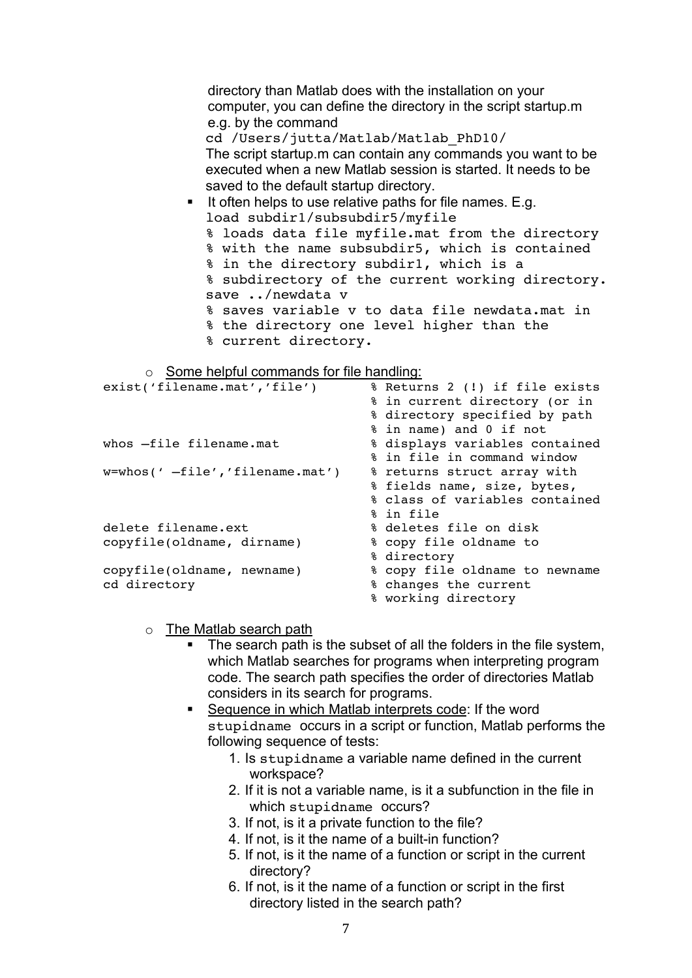directory than Matlab does with the installation on your computer, you can define the directory in the script startup.m e.g. by the command cd /Users/jutta/Matlab/Matlab\_PhD10/ The script startup.m can contain any commands you want to be executed when a new Matlab session is started. It needs to be saved to the default startup directory. It often helps to use relative paths for file names. E.g. load subdir1/subsubdir5/myfile % loads data file myfile.mat from the directory % with the name subsubdir5, which is contained % in the directory subdir1, which is a % subdirectory of the current working directory. save ../newdata v % saves variable v to data file newdata.mat in % the directory one level higher than the % current directory. o Some helpful commands for file handling: % Returns 2 (!) if file exists % in current directory (or in % directory specified by path % in name) and 0 if not

|                                        | % in name) and 0 if not        |
|----------------------------------------|--------------------------------|
| whos -file filename.mat                | % displays variables contained |
|                                        | % in file in command window    |
| $w =$ whos(' $-file',$ 'filename.mat') | % returns struct array with    |
|                                        | % fields name, size, bytes,    |
|                                        | % class of variables contained |
|                                        | % in file                      |
| delete filename.ext                    | % deletes file on disk         |
| copyfile(oldname, dirname)             | % copy file oldname to         |
|                                        | % directory                    |
| copyfile(oldname, newname)             | % copy file oldname to newname |
| cd directory                           | % changes the current          |
|                                        | % working directory            |
|                                        |                                |

- o The Matlab search path
	- The search path is the subset of all the folders in the file system, which Matlab searches for programs when interpreting program code. The search path specifies the order of directories Matlab considers in its search for programs.
	- Sequence in which Matlab interprets code: If the word stupidname occurs in a script or function, Matlab performs the following sequence of tests:
		- 1. Is stupidname a variable name defined in the current workspace?
		- 2. If it is not a variable name, is it a subfunction in the file in which stupidname occurs?
		- 3. If not, is it a private function to the file?
		- 4. If not, is it the name of a built-in function?
		- 5. If not, is it the name of a function or script in the current directory?
		- 6. If not, is it the name of a function or script in the first directory listed in the search path?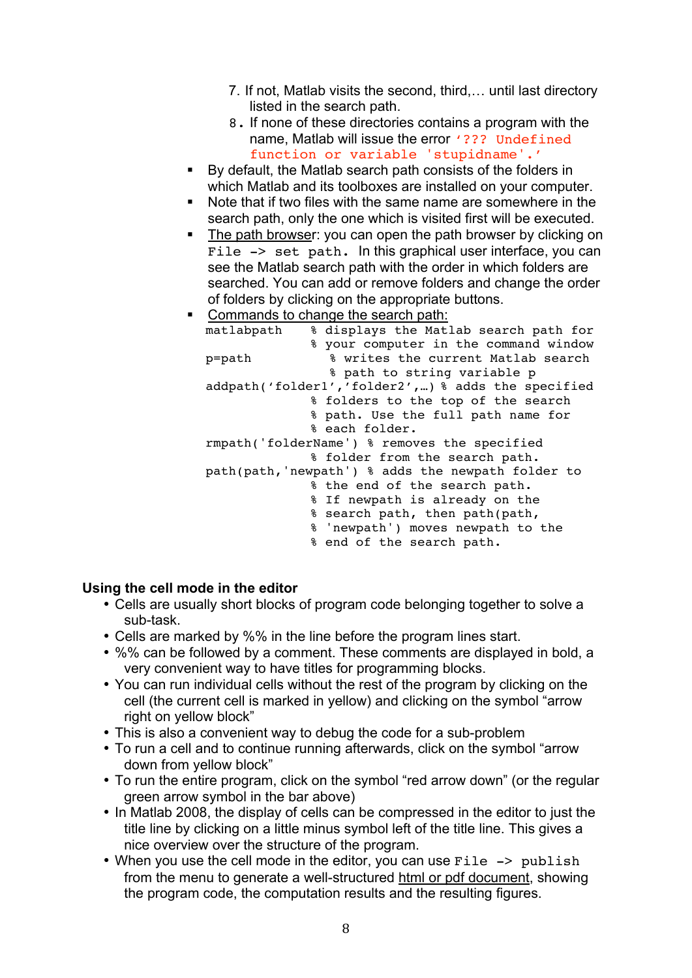- 7. If not, Matlab visits the second, third,… until last directory listed in the search path.
- 8. If none of these directories contains a program with the name. Matlab will issue the error '??? Undefined function or variable 'stupidname'.'
- By default, the Matlab search path consists of the folders in which Matlab and its toolboxes are installed on your computer.
- Note that if two files with the same name are somewhere in the search path, only the one which is visited first will be executed.
- The path browser: you can open the path browser by clicking on File  $\rightarrow$  set path. In this graphical user interface, you can see the Matlab search path with the order in which folders are searched. You can add or remove folders and change the order of folders by clicking on the appropriate buttons.
- Commands to change the search path:

| matlabpath                                         |  | % displays the Matlab search path for              |  |  |
|----------------------------------------------------|--|----------------------------------------------------|--|--|
|                                                    |  | % your computer in the command window              |  |  |
| p=path                                             |  | % writes the current Matlab search                 |  |  |
|                                                    |  | % path to string variable p                        |  |  |
|                                                    |  | addpath('folder1','folder2',) % adds the specified |  |  |
|                                                    |  | % folders to the top of the search                 |  |  |
|                                                    |  | % path. Use the full path name for                 |  |  |
|                                                    |  | % each folder.                                     |  |  |
|                                                    |  | rmpath('folderName') % removes the specified       |  |  |
|                                                    |  | % folder from the search path.                     |  |  |
| path(path, 'newpath') % adds the newpath folder to |  |                                                    |  |  |
|                                                    |  | % the end of the search path.                      |  |  |
|                                                    |  | % If newpath is already on the                     |  |  |
|                                                    |  | % search path, then path(path,                     |  |  |
|                                                    |  | % 'newpath') moves newpath to the                  |  |  |
|                                                    |  | % end of the search path.                          |  |  |

### **Using the cell mode in the editor**

- Cells are usually short blocks of program code belonging together to solve a sub-task.
- Cells are marked by %% in the line before the program lines start.
- %% can be followed by a comment. These comments are displayed in bold, a very convenient way to have titles for programming blocks.
- You can run individual cells without the rest of the program by clicking on the cell (the current cell is marked in yellow) and clicking on the symbol "arrow right on yellow block"
- This is also a convenient way to debug the code for a sub-problem
- To run a cell and to continue running afterwards, click on the symbol "arrow down from yellow block"
- To run the entire program, click on the symbol "red arrow down" (or the regular green arrow symbol in the bar above)
- In Matlab 2008, the display of cells can be compressed in the editor to just the title line by clicking on a little minus symbol left of the title line. This gives a nice overview over the structure of the program.
- When you use the cell mode in the editor, you can use File -> publish from the menu to generate a well-structured html or pdf document, showing the program code, the computation results and the resulting figures.